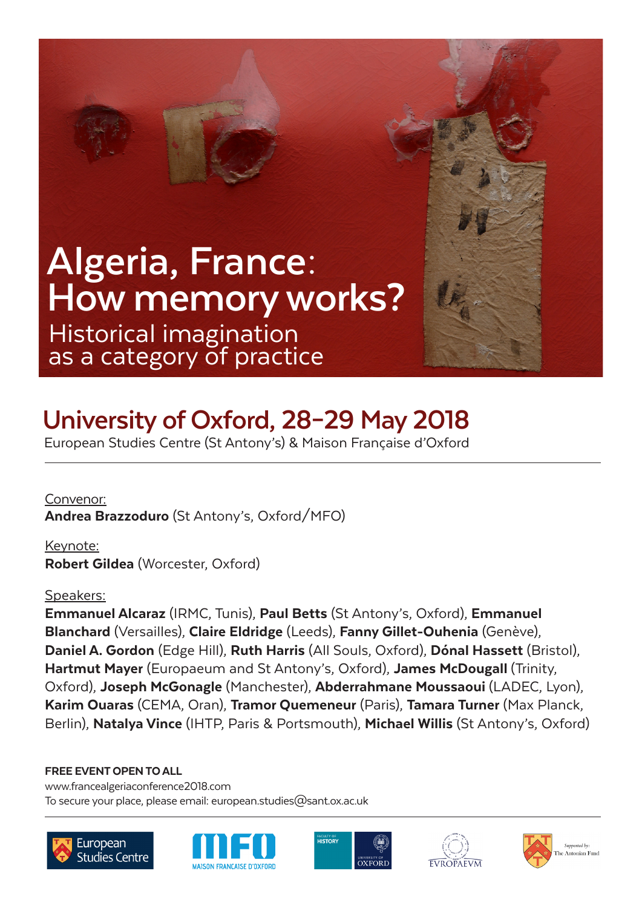# Historical imagination as a category of practice **Algeria, France: How memory works?**

# **University of Oxford, 28–29 May 2018**

European Studies Centre (St Antony's) & Maison Française d'Oxford

Convenor: Andrea Brazzoduro (St Antony's, Oxford/MFO)

Keynote: Robert Gildea (Worcester, Oxford)

# Speakers:

Emmanuel Alcaraz (IRMC, Tunis), Paul Betts (St Antony's, Oxford), Emmanuel Blanchard (Versailles), Claire Eldridge (Leeds), Fanny Gillet-Ouhenia (Genève), Daniel A. Gordon (Edge Hill), Ruth Harris (All Souls, Oxford), Dónal Hassett (Bristol), Hartmut Mayer (Europaeum and St Antony's, Oxford), James McDougall (Trinity, Oxford), Joseph McGonagle (Manchester), Abderrahmane Moussaoui (LADEC, Lyon), Karim Ouaras (CEMA, Oran), Tramor Quemeneur (Paris), Tamara Turner (Max Planck, Berlin), Natalya Vince (IHTP, Paris & Portsmouth), Michael Willis (St Antony's, Oxford)

FREE EVENT OPEN TO ALL

To secure your place, please email: european.studies@sant.ox.ac.uk www.francealgeriaconference2018.com









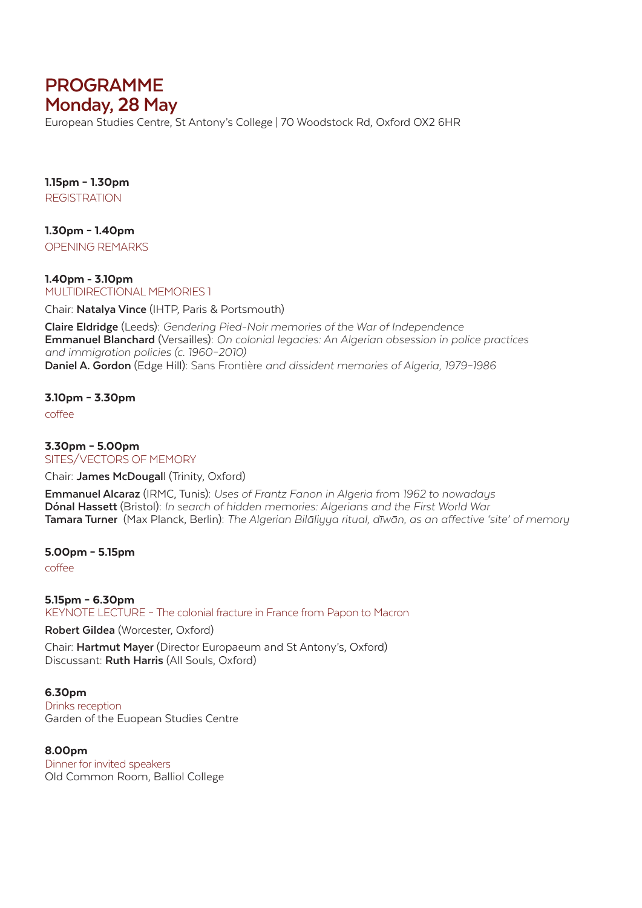# **PROGRAMME Monday, 28 May**

European Studies Centre, St Antony's College | 70 Woodstock Rd, Oxford OX2 6HR

1.15pm – 1.30pm **REGISTRATION** 

1.30pm – 1.40pm OPENING REMARKS

1.40pm - 3.10pm MULTIDIRECTIONAL MEMORIES 1

Chair: **Natalya Vince** (IHTP, Paris & Portsmouth)

**Claire Eldridge** (Leeds): *Gendering Pied-Noir memories of the War of Independence* **Emmanuel Blanchard** (Versailles): *On colonial legacies: An Algerian obsession in police practices and immigration policies (c. 1960–2010)* **Daniel A. Gordon** (Edge Hill): Sans Frontière *and dissident memories of Algeria, 1979–1986*

## 3.10pm – 3.30pm

coffee

3.30pm – 5.00pm SITES/VECTORS OF MEMORY

Chair: **James McDougal**l (Trinity, Oxford)

**Emmanuel Alcaraz** (IRMC, Tunis): *Uses of Frantz Fanon in Algeria from 1962 to nowadays* **Dónal Hassett** (Bristol): *In search of hidden memories: Algerians and the First World War* **Tamara Turner** (Max Planck, Berlin): *The Algerian Bilāliyya ritual, dīwān, as an affective 'site' of memory* 

5.00pm – 5.15pm

coffee

5.15pm – 6.30pm KEYNOTE LECTURE – The colonial fracture in France from Papon to Macron

**Robert Gildea** (Worcester, Oxford)

Chair: **Hartmut Mayer** (Director Europaeum and St Antony's, Oxford) Discussant: **Ruth Harris** (All Souls, Oxford)

6.30pm Drinks reception Garden of the Euopean Studies Centre

8.00pm Dinner for invited speakers Old Common Room, Balliol College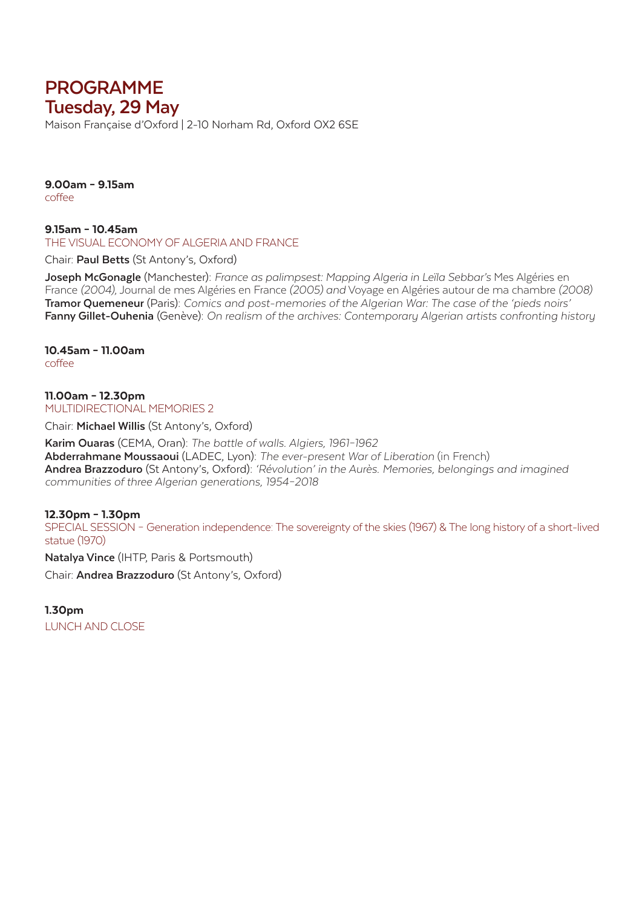# **PROGRAMME Tuesday, 29 May**

Maison Française d'Oxford | 2-10 Norham Rd, Oxford OX2 6SE

9.00am – 9.15am coffee

9.15am – 10.45am THE VISUAL ECONOMY OF ALGERIA AND FRANCE

Chair: **Paul Betts** (St Antony's, Oxford)

**Joseph McGonagle** (Manchester): *France as palimpsest: Mapping Algeria in Leïla Sebbar's* Mes Algéries en France *(2004)*, Journal de mes Algéries en France *(2005) and* Voyage en Algéries autour de ma chambre *(2008)* **Tramor Quemeneur** (Paris): *Comics and post-memories of the Algerian War: The case of the 'pieds noirs'* **Fanny Gillet-Ouhenia** (Genève): *On realism of the archives: Contemporary Algerian artists confronting history*

10.45am – 11.00am coffee

11.00am – 12.30pm MULTIDIRECTIONAL MEMORIES 2

Chair: **Michael Willis** (St Antony's, Oxford)

**Karim Ouaras** (CEMA, Oran): *The battle of walls. Algiers, 1961–1962* **Abderrahmane Moussaoui** (LADEC, Lyon): *The ever-present War of Liberation* (in French) **Andrea Brazzoduro** (St Antony's, Oxford): *'Révolution' in the Aurès. Memories, belongings and imagined communities of three Algerian generations, 1954–2018*

### 12.30pm – 1.30pm

SPECIAL SESSION – Generation independence: The sovereignty of the skies (1967) & The long history of a short-lived statue (1970)

**Natalya Vince** (IHTP, Paris & Portsmouth)

Chair: **Andrea Brazzoduro** (St Antony's, Oxford)

1.30pm LUNCH AND CLOSE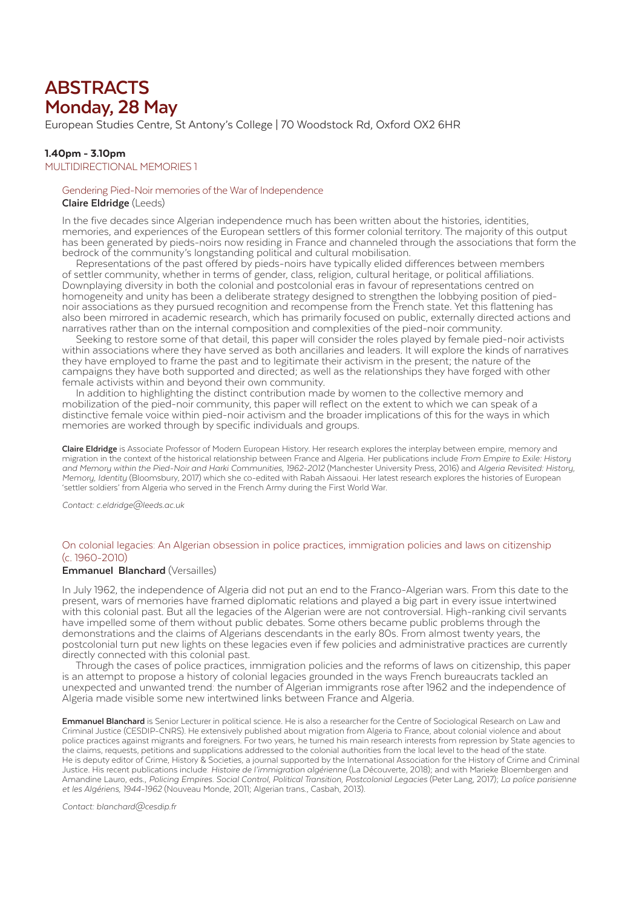# **ABSTRACTS Monday, 28 May**

European Studies Centre, St Antony's College | 70 Woodstock Rd, Oxford OX2 6HR

#### 1.40pm - 3.10pm

MULTIDIRECTIONAL MEMORIES 1

#### Gendering Pied-Noir memories of the War of Independence

#### **Claire Eldridge** (Leeds)

In the five decades since Algerian independence much has been written about the histories, identities, memories, and experiences of the European settlers of this former colonial territory. The majority of this output has been generated by pieds-noirs now residing in France and channeled through the associations that form the bedrock of the community's longstanding political and cultural mobilisation.

 Representations of the past offered by pieds-noirs have typically elided differences between members of settler community, whether in terms of gender, class, religion, cultural heritage, or political affiliations. Downplaying diversity in both the colonial and postcolonial eras in favour of representations centred on homogeneity and unity has been a deliberate strategy designed to strengthen the lobbying position of piednoir associations as they pursued recognition and recompense from the French state. Yet this flattening has also been mirrored in academic research, which has primarily focused on public, externally directed actions and narratives rather than on the internal composition and complexities of the pied-noir community.

 Seeking to restore some of that detail, this paper will consider the roles played by female pied-noir activists within associations where they have served as both ancillaries and leaders. It will explore the kinds of narratives they have employed to frame the past and to legitimate their activism in the present; the nature of the campaigns they have both supported and directed; as well as the relationships they have forged with other female activists within and beyond their own community.

 In addition to highlighting the distinct contribution made by women to the collective memory and mobilization of the pied-noir community, this paper will reflect on the extent to which we can speak of a distinctive female voice within pied-noir activism and the broader implications of this for the ways in which memories are worked through by specific individuals and groups.

**Claire Eldridge** is Associate Professor of Modern European History. Her research explores the interplay between empire, memory and migration in the context of the historical relationship between France and Algeria. Her publications include *From Empire to Exile: History and Memory within the Pied-Noir and Harki Communities, 1962-2012* (Manchester University Press, 2016) and *Algeria Revisited: History, Memory, Identity* (Bloomsbury, 2017) which she co-edited with Rabah Aissaoui. Her latest research explores the histories of European 'settler soldiers' from Algeria who served in the French Army during the First World War.

*Contact: c.eldridge@leeds.ac.uk*

#### On colonial legacies: An Algerian obsession in police practices, immigration policies and laws on citizenship (c. 1960-2010)

#### **Emmanuel Blanchard** (Versailles)

In July 1962, the independence of Algeria did not put an end to the Franco-Algerian wars. From this date to the present, wars of memories have framed diplomatic relations and played a big part in every issue intertwined with this colonial past. But all the legacies of the Algerian were are not controversial. High-ranking civil servants have impelled some of them without public debates. Some others became public problems through the demonstrations and the claims of Algerians descendants in the early 80s. From almost twenty years, the postcolonial turn put new lights on these legacies even if few policies and administrative practices are currently directly connected with this colonial past.

 Through the cases of police practices, immigration policies and the reforms of laws on citizenship, this paper is an attempt to propose a history of colonial legacies grounded in the ways French bureaucrats tackled an unexpected and unwanted trend: the number of Algerian immigrants rose after 1962 and the independence of Algeria made visible some new intertwined links between France and Algeria.

**Emmanuel Blanchard** is Senior Lecturer in political science. He is also a researcher for the Centre of Sociological Research on Law and Criminal Justice (CESDIP-CNRS). He extensively published about migration from Algeria to France, about colonial violence and about police practices against migrants and foreigners. For two years, he turned his main research interests from repression by State agencies to the claims, requests, petitions and supplications addressed to the colonial authorities from the local level to the head of the state. He is deputy editor of Crime, History & Societies, a journal supported by the International Association for the History of Crime and Criminal Justice. His recent publications include: *Histoire de l'immigration algérienne* (La Découverte, 2018); and with Marieke Bloembergen and Amandine Lauro, eds., *Policing Empires. Social Control, Political Transition, Postcolonial Legacies* (Peter Lang, 2017); *La police parisienne et les Algériens, 1944-1962* (Nouveau Monde, 2011; Algerian trans., Casbah, 2013).

*Contact: blanchard@cesdip.fr*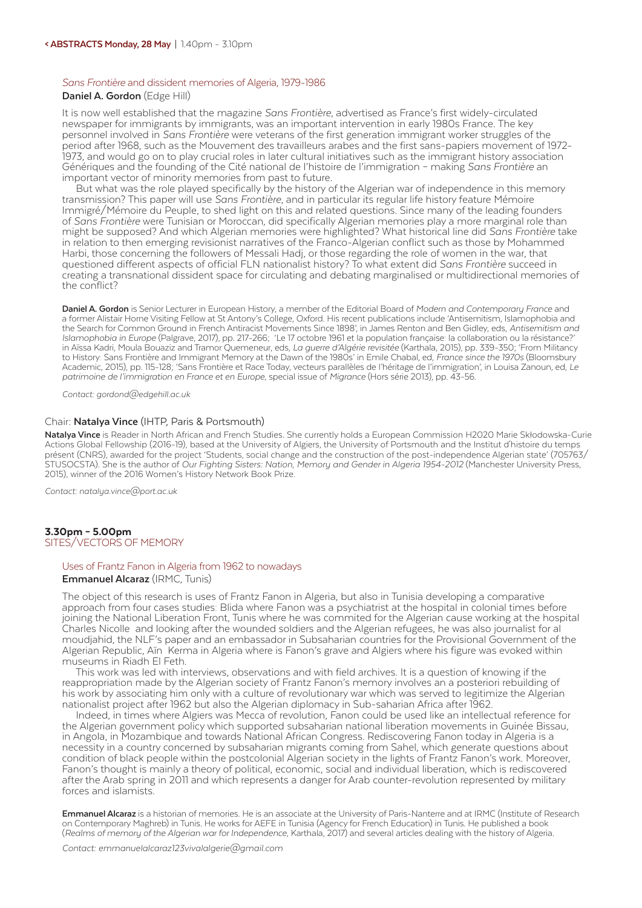#### *Sans Frontière* and dissident memories of Algeria, 1979-1986

#### **Daniel A. Gordon** (Edge Hill)

It is now well established that the magazine *Sans Frontière*, advertised as France's first widely-circulated newspaper for immigrants by immigrants, was an important intervention in early 1980s France. The key personnel involved in *Sans Frontière* were veterans of the first generation immigrant worker struggles of the period after 1968, such as the Mouvement des travailleurs arabes and the first sans-papiers movement of 1972- 1973, and would go on to play crucial roles in later cultural initiatives such as the immigrant history association Génériques and the founding of the Cité national de l'histoire de l'immigration – making *Sans Frontière* an important vector of minority memories from past to future.

But what was the role played specifically by the history of the Algerian war of independence in this memory transmission? This paper will use Sans Frontière, and in particular its regular life history feature Mémoire Immigré/Mémoire du Peuple, to shed light on this and related questions. Since many of the leading founders of *Sans Frontière* were Tunisian or Moroccan, did specifically Algerian memories play a more marginal role than might be supposed? And which Algerian memories were highlighted? What historical line did *Sans Frontière* take in relation to then emerging revisionist narratives of the Franco-Algerian conflict such as those by Mohammed Harbi, those concerning the followers of Messali Hadj, or those regarding the role of women in the war, that questioned different aspects of official FLN nationalist history? To what extent did *Sans Frontière* succeed in creating a transnational dissident space for circulating and debating marginalised or multidirectional memories of the conflict?

**Daniel A. Gordon** is Senior Lecturer in European History, a member of the Editorial Board of *Modern and Contemporary France* and a former Alistair Horne Visiting Fellow at St Antony's College, Oxford. His recent publications include 'Antisemitism, Islamophobia and the Search for Common Ground in French Antiracist Movements Since 1898', in James Renton and Ben Gidley, eds, *Antisemitism and Islamophobia in Europe* (Palgrave, 2017), pp. 217-266; 'Le 17 octobre 1961 et la population française: la collaboration ou la résistance?' in Aïssa Kadri, Moula Bouaziz and Tramor Quemeneur, eds, *La guerre d'Algérie revisitée* (Karthala, 2015), pp. 339-350; 'From Militancy to History: Sans Frontière and Immigrant Memory at the Dawn of the 1980s' in Emile Chabal, ed, *France since the 1970s* (Bloomsbury Academic, 2015), pp. 115-128; 'Sans Frontière et Race Today, vecteurs parallèles de l'héritage de l'immigration', in Louisa Zanoun, ed, *Le patrimoine de l'immigration en France et en Europe*, special issue of *Migrance* (Hors série 2013), pp. 43-56.

*Contact: gordond@edgehill.ac.uk*

## Chair: **Natalya Vince** (IHTP, Paris & Portsmouth)

**Natalya Vince** is Reader in North African and French Studies. She currently holds a European Commission H2020 Marie Skłodowska-Curie Actions Global Fellowship (2016-19), based at the University of Algiers, the University of Portsmouth and the Institut d'histoire du temps présent (CNRS), awarded for the project 'Students, social change and the construction of the post-independence Algerian state' (705763/ STUSOCSTA). She is the author of *Our Fighting Sisters: Nation, Memory and Gender in Algeria 1954-2012* (Manchester University Press, 2015), winner of the 2016 Women's History Network Book Prize.

*Contact: natalya.vince@port.ac.uk*

#### 3.30pm – 5.00pm SITES/VECTORS OF MEMORY

#### Uses of Frantz Fanon in Algeria from 1962 to nowadays **Emmanuel Alcaraz** (IRMC, Tunis)

The object of this research is uses of Frantz Fanon in Algeria, but also in Tunisia developing a comparative approach from four cases studies: Blida where Fanon was a psychiatrist at the hospital in colonial times before joining the National Liberation Front, Tunis where he was commited for the Algerian cause working at the hospital Charles Nicolle and looking after the wounded soldiers and the Algerian refugees, he was also journalist for al moudjahid, the NLF's paper and an embassador in Subsaharian countries for the Provisional Government of the Algerian Republic, Aïn Kerma in Algeria where is Fanon's grave and Algiers where his figure was evoked within museums in Riadh El Feth.

 This work was led with interviews, observations and with field archives. It is a question of knowing if the reappropriation made by the Algerian society of Frantz Fanon's memory involves an a posteriori rebuilding of his work by associating him only with a culture of revolutionary war which was served to legitimize the Algerian nationalist project after 1962 but also the Algerian diplomacy in Sub-saharian Africa after 1962.

 Indeed, in times where Algiers was Mecca of revolution, Fanon could be used like an intellectual reference for the Algerian government policy which supported subsaharian national liberation movements in Guinée Bissau, in Angola, in Mozambique and towards National African Congress. Rediscovering Fanon today in Algeria is a necessity in a country concerned by subsaharian migrants coming from Sahel, which generate questions about condition of black people within the postcolonial Algerian society in the lights of Frantz Fanon's work. Moreover, Fanon's thought is mainly a theory of political, economic, social and individual liberation, which is rediscovered after the Arab spring in 2011 and which represents a danger for Arab counter-revolution represented by military forces and islamists.

**Emmanuel Alcaraz** is a historian of memories. He is an associate at the University of Paris-Nanterre and at IRMC (Institute of Research on Contemporary Maghreb) in Tunis. He works for AEFE in Tunisia (Agency for French Education) in Tunis. He published a book (*Realms of memory of the Algerian war for Independence*, Karthala, 2017) and several articles dealing with the history of Algeria.

*Contact: emmanuelalcaraz123vivalalgerie@gmail.com*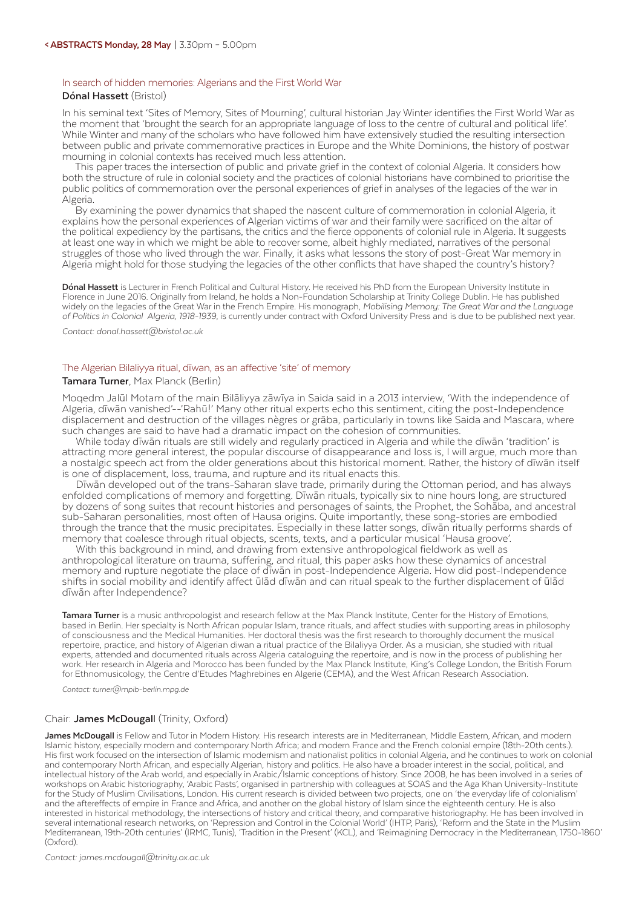#### In search of hidden memories: Algerians and the First World War

#### **Dónal Hassett** (Bristol)

In his seminal text 'Sites of Memory, Sites of Mourning', cultural historian Jay Winter identifies the First World War as the moment that 'brought the search for an appropriate language of loss to the centre of cultural and political life'. While Winter and many of the scholars who have followed him have extensively studied the resulting intersection between public and private commemorative practices in Europe and the White Dominions, the history of postwar mourning in colonial contexts has received much less attention.

 This paper traces the intersection of public and private grief in the context of colonial Algeria. It considers how both the structure of rule in colonial society and the practices of colonial historians have combined to prioritise the public politics of commemoration over the personal experiences of grief in analyses of the legacies of the war in Algeria.

 By examining the power dynamics that shaped the nascent culture of commemoration in colonial Algeria, it explains how the personal experiences of Algerian victims of war and their family were sacrificed on the altar of the political expediency by the partisans, the critics and the fierce opponents of colonial rule in Algeria. It suggests at least one way in which we might be able to recover some, albeit highly mediated, narratives of the personal struggles of those who lived through the war. Finally, it asks what lessons the story of post-Great War memory in Algeria might hold for those studying the legacies of the other conflicts that have shaped the country's history?

**Dónal Hassett** is Lecturer in French Political and Cultural History. He received his PhD from the European University Institute in Florence in June 2016. Originally from Ireland, he holds a Non-Foundation Scholarship at Trinity College Dublin. He has published widely on the legacies of the Great War in the French Empire. His monograph, *Mobilising Memory: The Great War and the Language of Politics in Colonial Algeria, 1918-1939*, is currently under contract with Oxford University Press and is due to be published next year.

*Contact: donal.hassett@bristol.ac.uk*

### The Algerian Bilaliyya ritual, dīwan, as an affective 'site' of memory

#### **Tamara Turner**, Max Planck (Berlin)

Moqedm Jalūl Motam of the main Bilāliyya zāwīya in Saida said in a 2013 interview, 'With the independence of Algeria, dīwān vanished'--'Rahū!' Many other ritual experts echo this sentiment, citing the post-Independence displacement and destruction of the villages nègres or grāba, particularly in towns like Saida and Mascara, where such changes are said to have had a dramatic impact on the cohesion of communities.

 While today dīwān rituals are still widely and regularly practiced in Algeria and while the dīwān 'tradition' is attracting more general interest, the popular discourse of disappearance and loss is, I will argue, much more than a nostalgic speech act from the older generations about this historical moment. Rather, the history of dīwān itself is one of displacement, loss, trauma, and rupture and its ritual enacts this.

 Dīwān developed out of the trans-Saharan slave trade, primarily during the Ottoman period, and has always enfolded complications of memory and forgetting. Dīwān rituals, typically six to nine hours long, are structured by dozens of song suites that recount histories and personages of saints, the Prophet, the Sohāba, and ancestral sub-Saharan personalities, most often of Hausa origins. Quite importantly, these song-stories are embodied through the trance that the music precipitates. Especially in these latter songs, dīwān ritually performs shards of memory that coalesce through ritual objects, scents, texts, and a particular musical 'Hausa groove'.

 With this background in mind, and drawing from extensive anthropological fieldwork as well as anthropological literature on trauma, suffering, and ritual, this paper asks how these dynamics of ancestral memory and rupture negotiate the place of dīwān in post-Independence Algeria. How did post-Independence shifts in social mobility and identify affect ūlād dīwān and can ritual speak to the further displacement of ūlād dīwān after Independence?

**Tamara Turner** is a music anthropologist and research fellow at the Max Planck Institute, Center for the History of Emotions, based in Berlin. Her specialty is North African popular Islam, trance rituals, and affect studies with supporting areas in philosophy of consciousness and the Medical Humanities. Her doctoral thesis was the first research to thoroughly document the musical repertoire, practice, and history of Algerian diwan a ritual practice of the Bilaliyya Order. As a musician, she studied with ritual experts, attended and documented rituals across Algeria cataloguing the repertoire, and is now in the process of publishing her work. Her research in Algeria and Morocco has been funded by the Max Planck Institute, King's College London, the British Forum for Ethnomusicology, the Centre d'Etudes Maghrebines en Algerie (CEMA), and the West African Research Association.

*Contact: turner@mpib-berlin.mpg.de*

#### Chair: **James McDougal**l (Trinity, Oxford)

**James McDougall** is Fellow and Tutor in Modern History. His research interests are in Mediterranean, Middle Eastern, African, and modern Islamic history, especially modern and contemporary North Africa; and modern France and the French colonial empire (18th-20th cents.). His first work focused on the intersection of Islamic modernism and nationalist politics in colonial Algeria, and he continues to work on colonial and contemporary North African, and especially Algerian, history and politics. He also have a broader interest in the social, political, and intellectual history of the Arab world, and especially in Arabic/Islamic conceptions of history. Since 2008, he has been involved in a series of workshops on Arabic historiography, 'Arabic Pasts', organised in partnership with colleagues at SOAS and the Aga Khan University-Institute for the Study of Muslim Civilisations, London. His current research is divided between two projects, one on 'the everyday life of colonialism' and the aftereffects of empire in France and Africa, and another on the global history of Islam since the eighteenth century. He is also interested in historical methodology, the intersections of history and critical theory, and comparative historiography. He has been involved in several international research networks, on 'Repression and Control in the Colonial World' (IHTP, Paris), 'Reform and the State in the Muslim Mediterranean, 19th-20th centuries' (IRMC, Tunis), 'Tradition in the Present' (KCL), and 'Reimagining Democracy in the Mediterranean, 1750-1860' (Oxford).

*Contact: james.mcdougall@trinity.ox.ac.uk*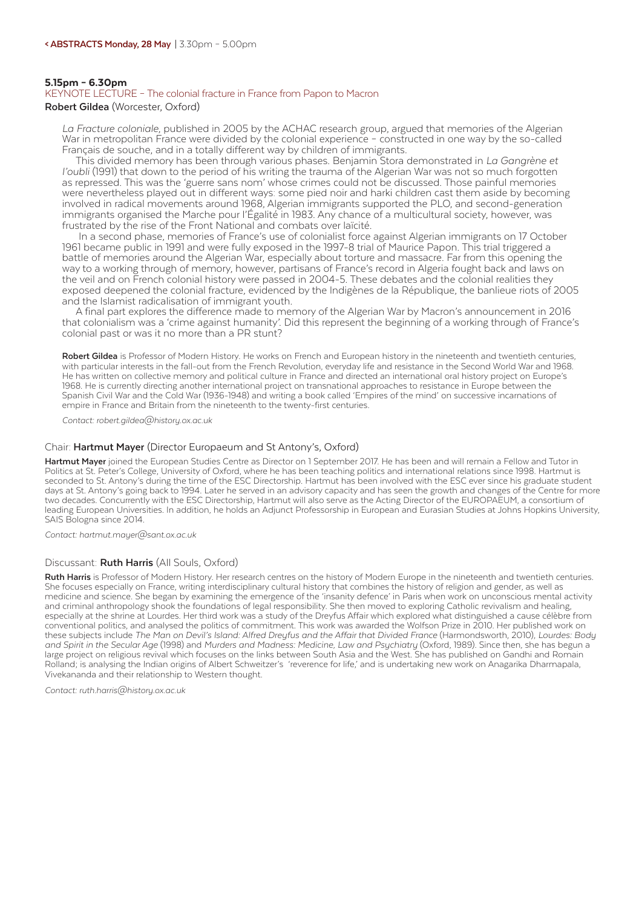#### 5.15pm – 6.30pm

#### KEYNOTE LECTURE – The colonial fracture in France from Papon to Macron **Robert Gildea** (Worcester, Oxford)

*La Fracture coloniale*, published in 2005 by the ACHAC research group, argued that memories of the Algerian War in metropolitan France were divided by the colonial experience – constructed in one way by the so-called Français de souche, and in a totally different way by children of immigrants.

 This divided memory has been through various phases. Benjamin Stora demonstrated in *La Gangrène et l'oubli* (1991) that down to the period of his writing the trauma of the Algerian War was not so much forgotten as repressed. This was the 'guerre sans nom' whose crimes could not be discussed. Those painful memories were nevertheless played out in different ways: some pied noir and harki children cast them aside by becoming involved in radical movements around 1968, Algerian immigrants supported the PLO, and second-generation immigrants organised the Marche pour l'Égalité in 1983. Any chance of a multicultural society, however, was frustrated by the rise of the Front National and combats over laïcité.

 In a second phase, memories of France's use of colonialist force against Algerian immigrants on 17 October 1961 became public in 1991 and were fully exposed in the 1997-8 trial of Maurice Papon. This trial triggered a battle of memories around the Algerian War, especially about torture and massacre. Far from this opening the way to a working through of memory, however, partisans of France's record in Algeria fought back and laws on the veil and on French colonial history were passed in 2004-5. These debates and the colonial realities they exposed deepened the colonial fracture, evidenced by the Indigènes de la République, the banlieue riots of 2005 and the Islamist radicalisation of immigrant youth.

 A final part explores the difference made to memory of the Algerian War by Macron's announcement in 2016 that colonialism was a 'crime against humanity'. Did this represent the beginning of a working through of France's colonial past or was it no more than a PR stunt?

**Robert Gildea** is Professor of Modern History. He works on French and European history in the nineteenth and twentieth centuries, with particular interests in the fall-out from the French Revolution, everyday life and resistance in the Second World War and 1968. He has written on collective memory and political culture in France and directed an international oral history project on Europe's 1968. He is currently directing another international project on transnational approaches to resistance in Europe between the Spanish Civil War and the Cold War (1936-1948) and writing a book called 'Empires of the mind' on successive incarnations of empire in France and Britain from the nineteenth to the twenty-first centuries.

*Contact: robert.gildea@history.ox.ac.uk*

#### Chair: **Hartmut Mayer** (Director Europaeum and St Antony's, Oxford)

**Hartmut Mayer** joined the European Studies Centre as Director on 1 September 2017. He has been and will remain a Fellow and Tutor in Politics at St. Peter's College, University of Oxford, where he has been teaching politics and international relations since 1998. Hartmut is seconded to St. Antony's during the time of the ESC Directorship. Hartmut has been involved with the ESC ever since his graduate student days at St. Antony's going back to 1994. Later he served in an advisory capacity and has seen the growth and changes of the Centre for more two decades. Concurrently with the ESC Directorship, Hartmut will also serve as the Acting Director of the EUROPAEUM, a consortium of leading European Universities. In addition, he holds an Adjunct Professorship in European and Eurasian Studies at Johns Hopkins University, SAIS Bologna since 2014.

*Contact: hartmut.mayer@sant.ox.ac.uk*

#### Discussant: **Ruth Harris** (All Souls, Oxford)

**Ruth Harris** is Professor of Modern History. Her research centres on the history of Modern Europe in the nineteenth and twentieth centuries. She focuses especially on France, writing interdisciplinary cultural history that combines the history of religion and gender, as well as medicine and science. She began by examining the emergence of the 'insanity defence' in Paris when work on unconscious mental activity and criminal anthropology shook the foundations of legal responsibility. She then moved to exploring Catholic revivalism and healing, especially at the shrine at Lourdes. Her third work was a study of the Dreyfus Affair which explored what distinguished a cause célèbre from conventional politics, and analysed the politics of commitment. This work was awarded the Wolfson Prize in 2010. Her published work on these subjects include *The Man on Devil's Island: Alfred Dreyfus and the Affair that Divided France* (Harmondsworth, 2010), *Lourdes: Body and Spirit in the Secular Age* (1998) and *Murders and Madness: Medicine, Law and Psychiatry* (Oxford, 1989). Since then, she has begun a large project on religious revival which focuses on the links between South Asia and the West. She has published on Gandhi and Romain Rolland; is analysing the Indian origins of Albert Schweitzer's 'reverence for life,' and is undertaking new work on Anagarika Dharmapala, Vivekananda and their relationship to Western thought.

*Contact: ruth.harris@history.ox.ac.uk*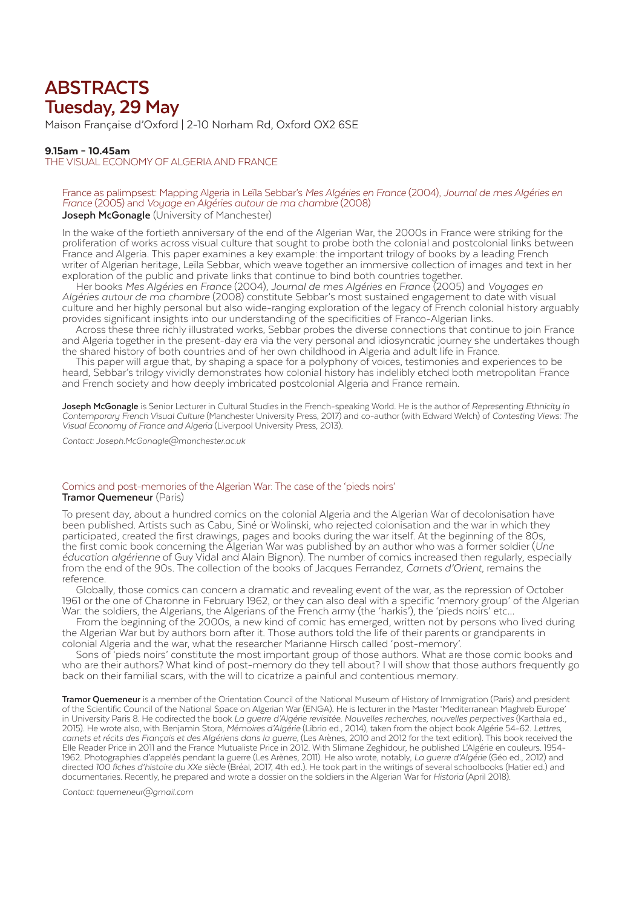# **ABSTRACTS Tuesday, 29 May**

Maison Française d'Oxford | 2-10 Norham Rd, Oxford OX2 6SE

#### 9.15am – 10.45am

THE VISUAL ECONOMY OF ALGERIA AND FRANCE

#### France as palimpsest: Mapping Algeria in Leïla Sebbar's *Mes Algéries en France* (2004), *Journal de mes Algéries en France* (2005) and *Voyage en Algéries autour de ma chambre* (2008) **Joseph McGonagle** (University of Manchester)

In the wake of the fortieth anniversary of the end of the Algerian War, the 2000s in France were striking for the proliferation of works across visual culture that sought to probe both the colonial and postcolonial links between France and Algeria. This paper examines a key example: the important trilogy of books by a leading French writer of Algerian heritage, Leïla Sebbar, which weave together an immersive collection of images and text in her exploration of the public and private links that continue to bind both countries together.

 Her books *Mes Algéries en France* (2004), *Journal de mes Algéries en France* (2005) and *Voyages en Algéries autour de ma chambre* (2008) constitute Sebbar's most sustained engagement to date with visual culture and her highly personal but also wide-ranging exploration of the legacy of French colonial history arguably provides significant insights into our understanding of the specificities of Franco-Algerian links.

 Across these three richly illustrated works, Sebbar probes the diverse connections that continue to join France and Algeria together in the present-day era via the very personal and idiosyncratic journey she undertakes though the shared history of both countries and of her own childhood in Algeria and adult life in France.

 This paper will argue that, by shaping a space for a polyphony of voices, testimonies and experiences to be heard, Sebbar's trilogy vividly demonstrates how colonial history has indelibly etched both metropolitan France and French society and how deeply imbricated postcolonial Algeria and France remain.

**Joseph McGonagle** is Senior Lecturer in Cultural Studies in the French-speaking World. He is the author of *Representing Ethnicity in Contemporary French Visual Culture* (Manchester University Press, 2017) and co-author (with Edward Welch) of *Contesting Views: The Visual Economy of France and Algeria* (Liverpool University Press, 2013).

*Contact: Joseph.McGonagle@manchester.ac.uk*

#### Comics and post-memories of the Algerian War: The case of the 'pieds noirs' **Tramor Quemeneur** (Paris)

To present day, about a hundred comics on the colonial Algeria and the Algerian War of decolonisation have been published. Artists such as Cabu, Siné or Wolinski, who rejected colonisation and the war in which they participated, created the first drawings, pages and books during the war itself. At the beginning of the 80s, the first comic book concerning the Algerian War was published by an author who was a former soldier (*Une éducation algérienne* of Guy Vidal and Alain Bignon). The number of comics increased then regularly, especially from the end of the 90s. The collection of the books of Jacques Ferrandez, *Carnets d'Orient*, remains the reference.

 Globally, those comics can concern a dramatic and revealing event of the war, as the repression of October 1961 or the one of Charonne in February 1962, or they can also deal with a specific 'memory group' of the Algerian War: the soldiers, the Algerians, the Algerians of the French army (the 'harkis'), the 'pieds noirs' etc…

 From the beginning of the 2000s, a new kind of comic has emerged, written not by persons who lived during the Algerian War but by authors born after it. Those authors told the life of their parents or grandparents in colonial Algeria and the war, what the researcher Marianne Hirsch called 'post-memory'.

 Sons of 'pieds noirs' constitute the most important group of those authors. What are those comic books and who are their authors? What kind of post-memory do they tell about? I will show that those authors frequently go back on their familial scars, with the will to cicatrize a painful and contentious memory.

**Tramor Quemeneur** is a member of the Orientation Council of the National Museum of History of Immigration (Paris) and president of the Scientific Council of the National Space on Algerian War (ENGA). He is lecturer in the Master 'Mediterranean Maghreb Europe' in University Paris 8. He codirected the book *La guerre d'Algérie revisitée. Nouvelles recherches, nouvelles perpectives* (Karthala ed., 2015). He wrote also, with Benjamin Stora, *Mémoires d'Algérie* (Librio ed., 2014), taken from the object book Algérie 54-62. *Lettres, carnets et récits des Français et des Algériens dans la guerre,* (Les Arènes, 2010 and 2012 for the text edition). This book received the Elle Reader Price in 2011 and the France Mutualiste Price in 2012. With Slimane Zeghidour, he published L'Algérie en couleurs. 1954- 1962. Photographies d'appelés pendant la guerre (Les Arènes, 2011). He also wrote, notably, *La guerre d'Algérie* (Géo ed., 2012) and directed *100 fiches d'histoire du XXe siècle* (Bréal, 2017, 4th ed.). He took part in the writings of several schoolbooks (Hatier ed.) and documentaries. Recently, he prepared and wrote a dossier on the soldiers in the Algerian War for *Historia* (April 2018).

*Contact: tquemeneur@gmail.com*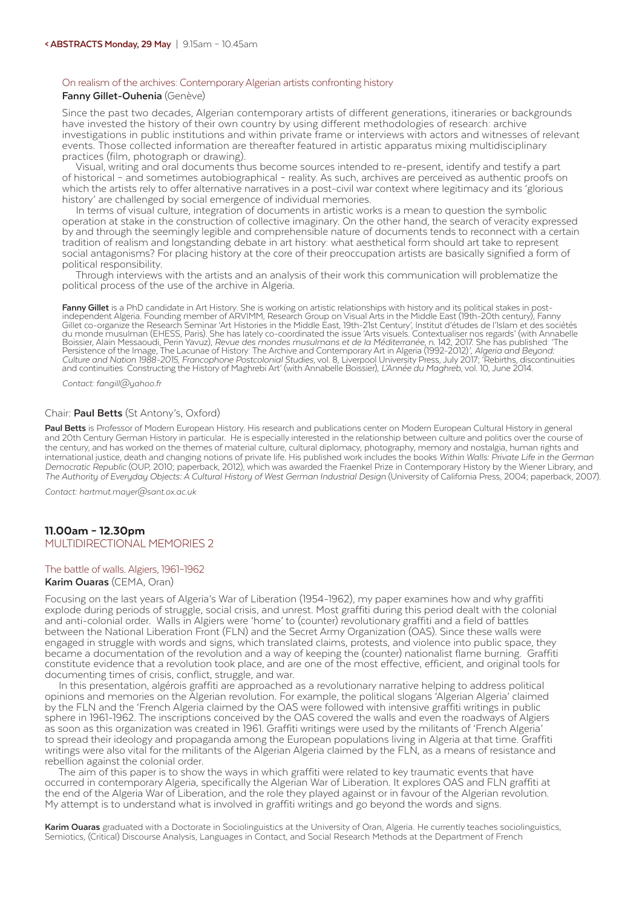#### On realism of the archives: Contemporary Algerian artists confronting history

#### **Fanny Gillet-Ouhenia** (Genève)

Since the past two decades, Algerian contemporary artists of different generations, itineraries or backgrounds have invested the history of their own country by using different methodologies of research: archive investigations in public institutions and within private frame or interviews with actors and witnesses of relevant events. Those collected information are thereafter featured in artistic apparatus mixing multidisciplinary practices (film, photograph or drawing).

 Visual, writing and oral documents thus become sources intended to re-present, identify and testify a part of historical – and sometimes autobiographical – reality. As such, archives are perceived as authentic proofs on which the artists rely to offer alternative narratives in a post-civil war context where legitimacy and its 'glorious history' are challenged by social emergence of individual memories.

 In terms of visual culture, integration of documents in artistic works is a mean to question the symbolic operation at stake in the construction of collective imaginary. On the other hand, the search of veracity expressed by and through the seemingly legible and comprehensible nature of documents tends to reconnect with a certain tradition of realism and longstanding debate in art history: what aesthetical form should art take to represent social antagonisms? For placing history at the core of their preoccupation artists are basically signified a form of political responsibility.

 Through interviews with the artists and an analysis of their work this communication will problematize the political process of the use of the archive in Algeria.

**Fanny Gillet** is a PhD candidate in Art History. She is working on artistic relationships with history and its political stakes in post-<br>independent Algeria. Founding member of ARVIMM, Research Group on Visual Arts in the Gillet co-organize the Research Seminar 'Art Histories in the Middle East, 19th-21st Century', Institut d'études de l'Islam et des sociétés du monde musulman (EHESS, Paris). She has lately co-coordinated the issue 'Arts visuels. Contextualiser nos regards' (with Annabelle Boissier, Alain Messaoudi, Perin Yavuz), Revue des mondes musulmans et de la Méditerranée, n. 142, 2017. She has published: 'The<br>Persistence of the Image, The Lacunae of History: The Archive and Contemporary Art in Algeria Culture and Nation 1988-2015, Francophone Postcolonial Studies, vol. 8, Liverpool University Press, July 2017; Rebirths, discontinuities<br>and continuities: Constructing the History of Maghrebi Art' (with Annabelle Boissier)

*Contact: fangill@yahoo.fr*

#### Chair: **Paul Betts** (St Antony's, Oxford)

**Paul Betts** is Professor of Modern European History. His research and publications center on Modern European Cultural History in general and 20th Century German History in particular. He is especially interested in the relationship between culture and politics over the course of the century, and has worked on the themes of material culture, cultural diplomacy, photography, memory and nostalgia, human rights and international justice, death and changing notions of private life. His published work includes the books *Within Walls: Private Life in the German Democratic Republic* (OUP, 2010; paperback, 2012), which was awarded the Fraenkel Prize in Contemporary History by the Wiener Library, and *The Authority of Everyday Objects: A Cultural History of West German Industrial Design* (University of California Press, 2004; paperback, 2007).

*Contact: hartmut.mayer@sant.ox.ac.uk*

#### 11.00am – 12.30pm MULTIDIRECTIONAL MEMORIES 2

#### The battle of walls. Algiers, 1961–1962

**Karim Ouaras** (CEMA, Oran)

Focusing on the last years of Algeria's War of Liberation (1954-1962), my paper examines how and why graffiti explode during periods of struggle, social crisis, and unrest. Most graffiti during this period dealt with the colonial and anti-colonial order. Walls in Algiers were 'home' to (counter) revolutionary graffiti and a field of battles between the National Liberation Front (FLN) and the Secret Army Organization (OAS). Since these walls were engaged in struggle with words and signs, which translated claims, protests, and violence into public space, they became a documentation of the revolution and a way of keeping the (counter) nationalist flame burning. Graffiti constitute evidence that a revolution took place, and are one of the most effective, efficient, and original tools for documenting times of crisis, conflict, struggle, and war.

 In this presentation, algérois graffiti are approached as a revolutionary narrative helping to address political opinions and memories on the Algerian revolution. For example, the political slogans 'Algerian Algeria' claimed by the FLN and the 'French Algeria claimed by the OAS were followed with intensive graffiti writings in public sphere in 1961-1962. The inscriptions conceived by the OAS covered the walls and even the roadways of Algiers as soon as this organization was created in 1961. Graffiti writings were used by the militants of 'French Algeria' to spread their ideology and propaganda among the European populations living in Algeria at that time. Graffiti writings were also vital for the militants of the Algerian Algeria claimed by the FLN, as a means of resistance and rebellion against the colonial order.

 The aim of this paper is to show the ways in which graffiti were related to key traumatic events that have occurred in contemporary Algeria, specifically the Algerian War of Liberation. It explores OAS and FLN graffiti at the end of the Algeria War of Liberation, and the role they played against or in favour of the Algerian revolution. My attempt is to understand what is involved in graffiti writings and go beyond the words and signs.

**Karim Ouaras** graduated with a Doctorate in Sociolinguistics at the University of Oran, Algeria. He currently teaches sociolinguistics, Semiotics, (Critical) Discourse Analysis, Languages in Contact, and Social Research Methods at the Department of French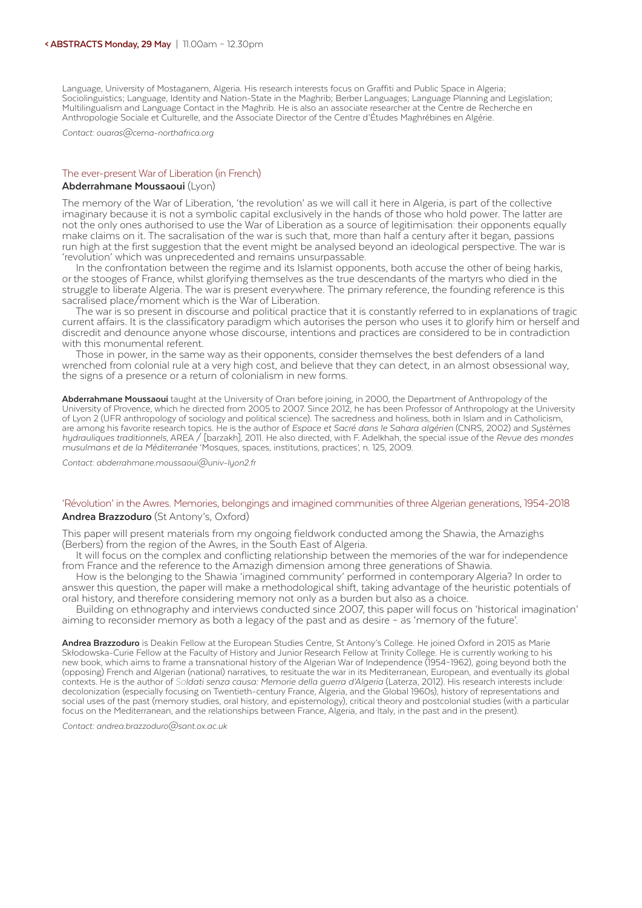Language, University of Mostaganem, Algeria. His research interests focus on Graffiti and Public Space in Algeria; Sociolinguistics; Language, Identity and Nation-State in the Maghrib; Berber Languages; Language Planning and Legislation; Multilingualism and Language Contact in the Maghrib. He is also an associate researcher at the Centre de Recherche en Anthropologie Sociale et Culturelle, and the Associate Director of the Centre d'Études Maghrébines en Algérie.

*Contact: ouaras@cema-northafrica.org*

#### The ever-present War of Liberation (in French) **Abderrahmane Moussaoui** (Lyon)

The memory of the War of Liberation, 'the revolution' as we will call it here in Algeria, is part of the collective imaginary because it is not a symbolic capital exclusively in the hands of those who hold power. The latter are not the only ones authorised to use the War of Liberation as a source of legitimisation: their opponents equally make claims on it. The sacralisation of the war is such that, more than half a century after it began, passions run high at the first suggestion that the event might be analysed beyond an ideological perspective. The war is 'revolution' which was unprecedented and remains unsurpassable.

In the confrontation between the regime and its Islamist opponents, both accuse the other of being harkis, or the stooges of France, whilst glorifying themselves as the true descendants of the martyrs who died in the struggle to liberate Algeria. The war is present everywhere. The primary reference, the founding reference is this sacralised place/moment which is the War of Liberation.

 The war is so present in discourse and political practice that it is constantly referred to in explanations of tragic current affairs. It is the classificatory paradigm which autorises the person who uses it to glorify him or herself and discredit and denounce anyone whose discourse, intentions and practices are considered to be in contradiction with this monumental referent.

 Those in power, in the same way as their opponents, consider themselves the best defenders of a land wrenched from colonial rule at a very high cost, and believe that they can detect, in an almost obsessional way, the signs of a presence or a return of colonialism in new forms.

**Abderrahmane Moussaoui** taught at the University of Oran before joining, in 2000, the Department of Anthropology of the University of Provence, which he directed from 2005 to 2007. Since 2012, he has been Professor of Anthropology at the University of Lyon 2 (UFR anthropology of sociology and political science). The sacredness and holiness, both in Islam and in Catholicism, are among his favorite research topics. He is the author of *Espace et Sacré dans le Sahara algérien* (CNRS, 2002) and *Systèmes hydrauliques traditionnels*, AREA / [barzakh], 2011. He also directed, with F. Adelkhah, the special issue of the *Revue des mondes musulmans et de la Méditerranée* 'Mosques, spaces, institutions, practices', n. 125, 2009.

*Contact: abderrahmane.moussaoui@univ-lyon2.fr*

#### 'Révolution' in the Awres. Memories, belongings and imagined communities of three Algerian generations, 1954-2018 **Andrea Brazzoduro** (St Antony's, Oxford)

This paper will present materials from my ongoing fieldwork conducted among the Shawia, the Amazighs (Berbers) from the region of the Awres, in the South East of Algeria.

 It will focus on the complex and conflicting relationship between the memories of the war for independence from France and the reference to the Amazigh dimension among three generations of Shawia.

 How is the belonging to the Shawia 'imagined community' performed in contemporary Algeria? In order to answer this question, the paper will make a methodological shift, taking advantage of the heuristic potentials of oral history, and therefore considering memory not only as a burden but also as a choice.

 Building on ethnography and interviews conducted since 2007, this paper will focus on 'historical imagination' aiming to reconsider memory as both a legacy of the past and as desire – as 'memory of the future'.

**Andrea Brazzoduro** is Deakin Fellow at the European Studies Centre, St Antony's College. He joined Oxford in 2015 as Marie Skłodowska-Curie Fellow at the Faculty of History and Junior Research Fellow at Trinity College. He is currently working to his new book, which aims to frame a transnational history of the Algerian War of Independence (1954–1962), going beyond both the (opposing) French and Algerian (national) narratives, to resituate the war in its Mediterranean, European, and eventually its global contexts. He is the author of *Soldati senza causa: Memorie della guerra d'Algeria* (Laterza, 2012). His research interests include: decolonization (especially focusing on Twentieth-century France, Algeria, and the Global 1960s), history of representations and social uses of the past (memory studies, oral history, and epistemology), critical theory and postcolonial studies (with a particular focus on the Mediterranean, and the relationships between France, Algeria, and Italy, in the past and in the present).

*Contact: andrea.brazzoduro@sant.ox.ac.uk*